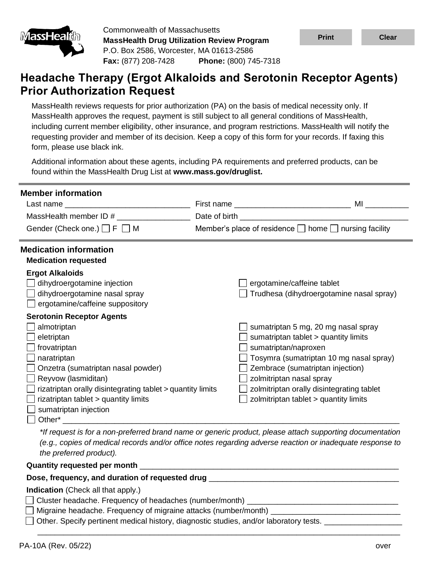

Commonwealth of Massachusetts **MassHealth Drug Utilization Review Program** P.O. Box 2586, Worcester, MA 01613-2586 **Fax:** (877) 208-7428 **Phone:** (800) 745-7318



# **Headache Therapy (Ergot Alkaloids and Serotonin Receptor Agents) Prior Authorization Request**

MassHealth reviews requests for prior authorization (PA) on the basis of medical necessity only. If MassHealth approves the request, payment is still subject to all general conditions of MassHealth, including current member eligibility, other insurance, and program restrictions. MassHealth will notify the requesting provider and member of its decision. Keep a copy of this form for your records. If faxing this form, please use black ink.

Additional information about these agents, including PA requirements and preferred products, can be found within the MassHealth Drug List at **www.mass.gov/druglist.**

| <b>Member information</b>                                                                                                 |                                                                        |  |  |  |  |  |  |
|---------------------------------------------------------------------------------------------------------------------------|------------------------------------------------------------------------|--|--|--|--|--|--|
|                                                                                                                           | MI                                                                     |  |  |  |  |  |  |
| MassHealth member ID #                                                                                                    | <u> 1980 - Johann Barbara, martxa alemaniar a</u><br>Date of birth     |  |  |  |  |  |  |
| Gender (Check one.) $\Box$ F $\Box$ M                                                                                     | Member's place of residence $\Box$ home $\Box$ nursing facility        |  |  |  |  |  |  |
| <b>Medication information</b>                                                                                             |                                                                        |  |  |  |  |  |  |
| <b>Medication requested</b>                                                                                               |                                                                        |  |  |  |  |  |  |
| <b>Ergot Alkaloids</b><br>dihydroergotamine injection<br>dihydroergotamine nasal spray<br>ergotamine/caffeine suppository | ergotamine/caffeine tablet<br>Trudhesa (dihydroergotamine nasal spray) |  |  |  |  |  |  |
| <b>Serotonin Receptor Agents</b>                                                                                          |                                                                        |  |  |  |  |  |  |
| almotriptan                                                                                                               | sumatriptan 5 mg, 20 mg nasal spray                                    |  |  |  |  |  |  |
| eletriptan                                                                                                                | sumatriptan tablet > quantity limits                                   |  |  |  |  |  |  |
| frovatriptan                                                                                                              | sumatriptan/naproxen                                                   |  |  |  |  |  |  |
| naratriptan                                                                                                               | Tosymra (sumatriptan 10 mg nasal spray)                                |  |  |  |  |  |  |
| Onzetra (sumatriptan nasal powder)                                                                                        | Zembrace (sumatriptan injection)                                       |  |  |  |  |  |  |
| Reyvow (lasmiditan)                                                                                                       | zolmitriptan nasal spray                                               |  |  |  |  |  |  |
| rizatriptan orally disintegrating tablet > quantity limits                                                                | zolmitriptan orally disintegrating tablet                              |  |  |  |  |  |  |
| rizatriptan tablet > quantity limits                                                                                      | zolmitriptan tablet > quantity limits                                  |  |  |  |  |  |  |
| sumatriptan injection                                                                                                     |                                                                        |  |  |  |  |  |  |
| Other*                                                                                                                    |                                                                        |  |  |  |  |  |  |

*\*If request is for a non-preferred brand name or generic product, please attach supporting documentation (e.g., copies of medical records and/or office notes regarding adverse reaction or inadequate response to the preferred product).*

\_\_\_\_\_\_\_\_\_\_\_\_\_\_\_\_\_\_\_\_\_\_\_\_\_\_\_\_\_\_\_\_\_\_\_\_\_\_\_\_\_\_\_\_\_\_\_\_\_\_\_\_\_\_\_\_\_\_\_\_\_\_\_\_\_\_\_\_\_\_\_\_\_\_\_\_\_\_\_\_\_\_\_\_

**Quantity requested per month**  $\blacksquare$ 

### Dose, frequency, and duration of requested drug \_\_\_\_\_\_\_\_\_\_\_\_\_\_\_\_\_\_\_\_\_\_\_\_\_\_\_\_\_\_\_\_\_

**Indication** (Check all that apply.)

- $\Box$  Cluster headache. Frequency of headaches (number/month)
- $\Box$  Migraine headache. Frequency of migraine attacks (number/month)
- $\Box$  Other. Specify pertinent medical history, diagnostic studies, and/or laboratory tests.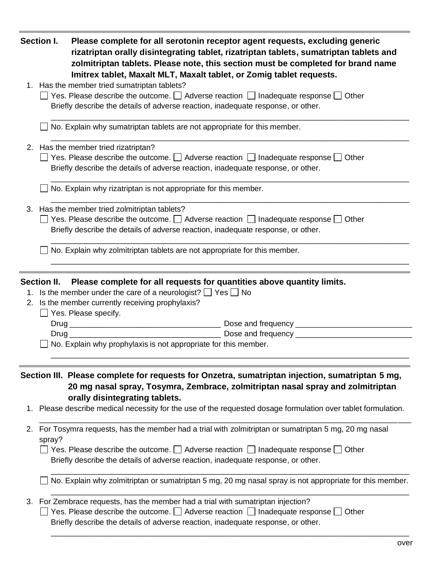|    | Section I.<br>Please complete for all serotonin receptor agent requests, excluding generic<br>rizatriptan orally disintegrating tablet, rizatriptan tablets, sumatriptan tablets and<br>zolmitriptan tablets. Please note, this section must be completed for brand name<br>Imitrex tablet, Maxalt MLT, Maxalt tablet, or Zomig tablet requests. |  |  |  |  |
|----|--------------------------------------------------------------------------------------------------------------------------------------------------------------------------------------------------------------------------------------------------------------------------------------------------------------------------------------------------|--|--|--|--|
|    | 1. Has the member tried sumatriptan tablets?<br>$\Box$ Yes. Please describe the outcome. $\Box$ Adverse reaction $\Box$ Inadequate response $\Box$ Other<br>Briefly describe the details of adverse reaction, inadequate response, or other.                                                                                                     |  |  |  |  |
|    | No. Explain why sumatriptan tablets are not appropriate for this member.                                                                                                                                                                                                                                                                         |  |  |  |  |
|    | 2. Has the member tried rizatriptan?<br>$\Box$ Yes. Please describe the outcome. $\Box$ Adverse reaction $\Box$ Inadequate response $\Box$ Other<br>Briefly describe the details of adverse reaction, inadequate response, or other.                                                                                                             |  |  |  |  |
|    | No. Explain why rizatriptan is not appropriate for this member.                                                                                                                                                                                                                                                                                  |  |  |  |  |
|    | 3. Has the member tried zolmitriptan tablets?<br>$\Box$ Yes. Please describe the outcome. $\Box$ Adverse reaction $\Box$ Inadequate response $\Box$ Other<br>Briefly describe the details of adverse reaction, inadequate response, or other.                                                                                                    |  |  |  |  |
|    | No. Explain why zolmitriptan tablets are not appropriate for this member.                                                                                                                                                                                                                                                                        |  |  |  |  |
|    | Please complete for all requests for quantities above quantity limits.<br><b>Section II.</b><br>1. Is the member under the care of a neurologist? $\Box$ Yes $\Box$ No<br>2. Is the member currently receiving prophylaxis?<br>$\Box$ Yes. Please specify.                                                                                       |  |  |  |  |
|    | Dose and frequency ___________<br>No. Explain why prophylaxis is not appropriate for this member.                                                                                                                                                                                                                                                |  |  |  |  |
| 1. | Section III. Please complete for requests for Onzetra, sumatriptan injection, sumatriptan 5 mg,<br>20 mg nasal spray, Tosymra, Zembrace, zolmitriptan nasal spray and zolmitriptan<br>orally disintegrating tablets.<br>Please describe medical necessity for the use of the requested dosage formulation over tablet formulation.               |  |  |  |  |
| 2. | For Tosymra requests, has the member had a trial with zolmitriptan or sumatriptan 5 mg, 20 mg nasal<br>spray?<br>$\Box$ Yes. Please describe the outcome. $\Box$ Adverse reaction $\Box$ Inadequate response $\Box$ Other<br>Briefly describe the details of adverse reaction, inadequate response, or other.                                    |  |  |  |  |
|    | No. Explain why zolmitriptan or sumatriptan 5 mg, 20 mg nasal spray is not appropriate for this member.                                                                                                                                                                                                                                          |  |  |  |  |
|    | 3. For Zembrace requests, has the member had a trial with sumatriptan injection?<br>Yes. Please describe the outcome. $\Box$ Adverse reaction $\Box$ Inadequate response $\Box$ Other<br>Briefly describe the details of adverse reaction, inadequate response, or other.                                                                        |  |  |  |  |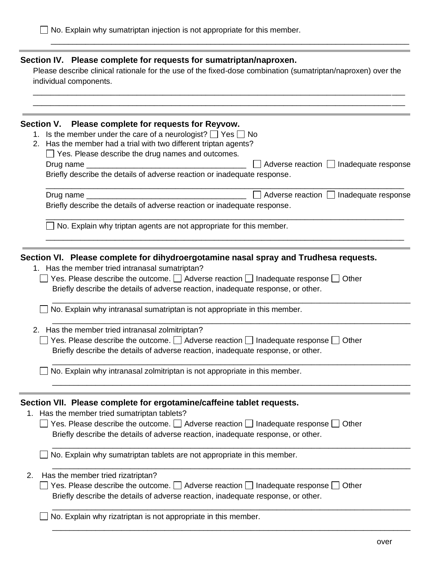## **Section IV. Please complete for requests for sumatriptan/naproxen.**

Please describe clinical rationale for the use of the fixed-dose combination (sumatriptan/naproxen) over the individual components.

\_\_\_\_\_\_\_\_\_\_\_\_\_\_\_\_\_\_\_\_\_\_\_\_\_\_\_\_\_\_\_\_\_\_\_\_\_\_\_\_\_\_\_\_\_\_\_\_\_\_\_\_\_\_\_\_\_\_\_\_\_\_\_\_\_\_\_\_\_\_\_\_\_\_\_\_\_\_\_\_\_\_\_\_\_\_

\_\_\_\_\_\_\_\_\_\_\_\_\_\_\_\_\_\_\_\_\_\_\_\_\_\_\_\_\_\_\_\_\_\_\_\_\_\_\_\_\_\_\_\_\_\_\_\_\_\_\_\_\_\_\_\_\_\_\_\_\_\_\_\_\_\_\_\_\_\_\_\_\_\_\_\_\_\_\_\_\_\_\_

|    | Section V. Please complete for requests for Reyvow.                                                                                                                                          |  |  |  |  |  |
|----|----------------------------------------------------------------------------------------------------------------------------------------------------------------------------------------------|--|--|--|--|--|
|    | 1. Is the member under the care of a neurologist? $\Box$ Yes $\Box$ No                                                                                                                       |  |  |  |  |  |
|    | 2. Has the member had a trial with two different triptan agents?                                                                                                                             |  |  |  |  |  |
|    | $\Box$ Yes. Please describe the drug names and outcomes.                                                                                                                                     |  |  |  |  |  |
|    | Adverse reaction   Inadequate response                                                                                                                                                       |  |  |  |  |  |
|    | Briefly describe the details of adverse reaction or inadequate response.                                                                                                                     |  |  |  |  |  |
|    | Adverse reaction   Inadequate response<br>Drug name ___                                                                                                                                      |  |  |  |  |  |
|    | Briefly describe the details of adverse reaction or inadequate response.                                                                                                                     |  |  |  |  |  |
|    | No. Explain why triptan agents are not appropriate for this member.                                                                                                                          |  |  |  |  |  |
|    | Section VI. Please complete for dihydroergotamine nasal spray and Trudhesa requests.                                                                                                         |  |  |  |  |  |
|    | 1. Has the member tried intranasal sumatriptan?                                                                                                                                              |  |  |  |  |  |
|    | Yes. Please describe the outcome. $\Box$ Adverse reaction $\Box$ Inadequate response $\Box$ Other                                                                                            |  |  |  |  |  |
|    | Briefly describe the details of adverse reaction, inadequate response, or other.                                                                                                             |  |  |  |  |  |
|    | No. Explain why intranasal sumatriptan is not appropriate in this member.                                                                                                                    |  |  |  |  |  |
|    | 2. Has the member tried intranasal zolmitriptan?                                                                                                                                             |  |  |  |  |  |
|    | $\Box$ Yes. Please describe the outcome. $\Box$ Adverse reaction $\Box$ Inadequate response $\Box$ Other<br>Briefly describe the details of adverse reaction, inadequate response, or other. |  |  |  |  |  |
|    | No. Explain why intranasal zolmitriptan is not appropriate in this member.                                                                                                                   |  |  |  |  |  |
|    | Section VII. Please complete for ergotamine/caffeine tablet requests.                                                                                                                        |  |  |  |  |  |
|    | 1. Has the member tried sumatriptan tablets?                                                                                                                                                 |  |  |  |  |  |
|    | Yes. Please describe the outcome. $\Box$ Adverse reaction $\Box$ Inadequate response $\Box$ Other                                                                                            |  |  |  |  |  |
|    | Briefly describe the details of adverse reaction, inadequate response, or other.                                                                                                             |  |  |  |  |  |
|    | No. Explain why sumatriptan tablets are not appropriate in this member.                                                                                                                      |  |  |  |  |  |
| 2. | Has the member tried rizatriptan?                                                                                                                                                            |  |  |  |  |  |
|    | $\Box$ Yes. Please describe the outcome. $\Box$ Adverse reaction $\Box$ Inadequate response $\Box$ Other<br>Briefly describe the details of adverse reaction, inadequate response, or other. |  |  |  |  |  |
|    | No. Explain why rizatriptan is not appropriate in this member.                                                                                                                               |  |  |  |  |  |